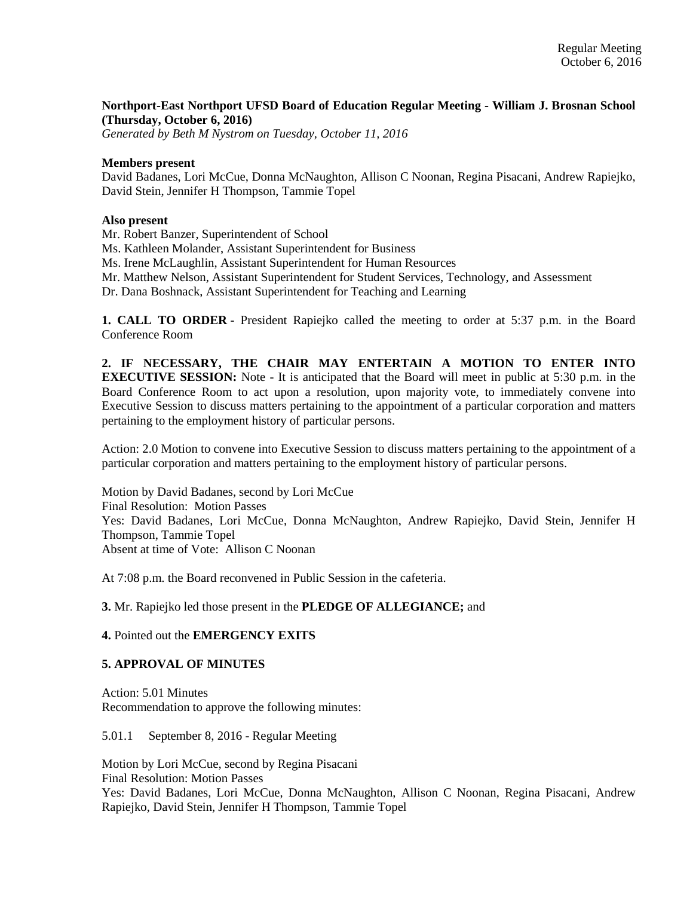# **Northport-East Northport UFSD Board of Education Regular Meeting - William J. Brosnan School (Thursday, October 6, 2016)**

*Generated by Beth M Nystrom on Tuesday, October 11, 2016*

#### **Members present**

David Badanes, Lori McCue, Donna McNaughton, Allison C Noonan, Regina Pisacani, Andrew Rapiejko, David Stein, Jennifer H Thompson, Tammie Topel

#### **Also present**

Mr. Robert Banzer, Superintendent of School

Ms. Kathleen Molander, Assistant Superintendent for Business

Ms. Irene McLaughlin, Assistant Superintendent for Human Resources

Mr. Matthew Nelson, Assistant Superintendent for Student Services, Technology, and Assessment

Dr. Dana Boshnack, Assistant Superintendent for Teaching and Learning

**1. CALL TO ORDER** - President Rapiejko called the meeting to order at 5:37 p.m. in the Board Conference Room

**2. IF NECESSARY, THE CHAIR MAY ENTERTAIN A MOTION TO ENTER INTO EXECUTIVE SESSION:** Note - It is anticipated that the Board will meet in public at 5:30 p.m. in the Board Conference Room to act upon a resolution, upon majority vote, to immediately convene into Executive Session to discuss matters pertaining to the appointment of a particular corporation and matters pertaining to the employment history of particular persons.

Action: 2.0 Motion to convene into Executive Session to discuss matters pertaining to the appointment of a particular corporation and matters pertaining to the employment history of particular persons.

Motion by David Badanes, second by Lori McCue Final Resolution: Motion Passes Yes: David Badanes, Lori McCue, Donna McNaughton, Andrew Rapiejko, David Stein, Jennifer H Thompson, Tammie Topel Absent at time of Vote: Allison C Noonan

At 7:08 p.m. the Board reconvened in Public Session in the cafeteria.

**3.** Mr. Rapiejko led those present in the **PLEDGE OF ALLEGIANCE;** and

**4.** Pointed out the **EMERGENCY EXITS**

### **5. APPROVAL OF MINUTES**

Action: 5.01 Minutes Recommendation to approve the following minutes:

5.01.1 September 8, 2016 - Regular Meeting

Motion by Lori McCue, second by Regina Pisacani Final Resolution: Motion Passes Yes: David Badanes, Lori McCue, Donna McNaughton, Allison C Noonan, Regina Pisacani, Andrew Rapiejko, David Stein, Jennifer H Thompson, Tammie Topel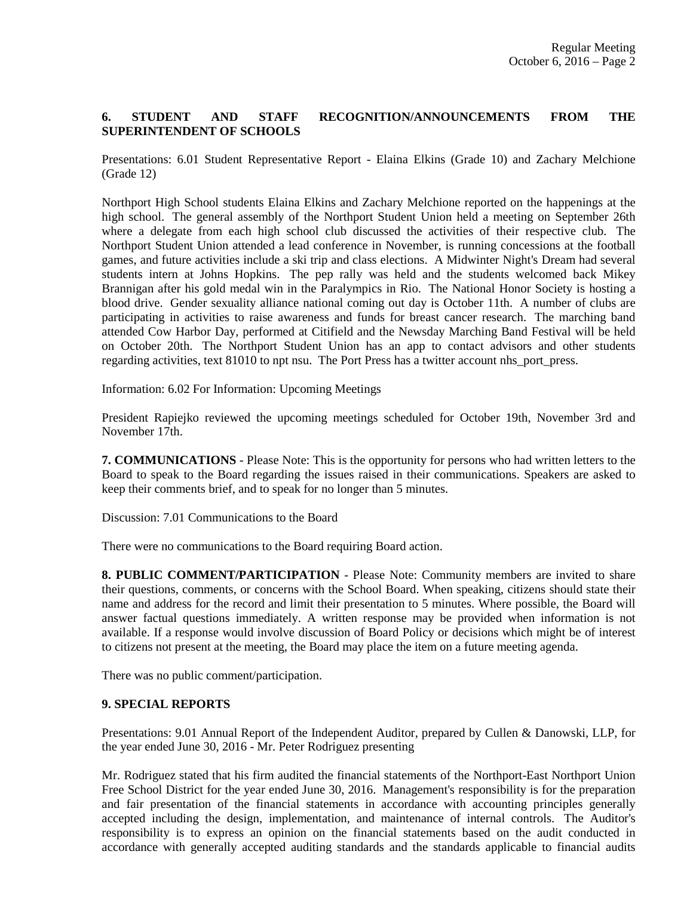# **6. STUDENT AND STAFF RECOGNITION/ANNOUNCEMENTS FROM THE SUPERINTENDENT OF SCHOOLS**

Presentations: 6.01 Student Representative Report - Elaina Elkins (Grade 10) and Zachary Melchione (Grade 12)

Northport High School students Elaina Elkins and Zachary Melchione reported on the happenings at the high school. The general assembly of the Northport Student Union held a meeting on September 26th where a delegate from each high school club discussed the activities of their respective club. The Northport Student Union attended a lead conference in November, is running concessions at the football games, and future activities include a ski trip and class elections. A Midwinter Night's Dream had several students intern at Johns Hopkins. The pep rally was held and the students welcomed back Mikey Brannigan after his gold medal win in the Paralympics in Rio. The National Honor Society is hosting a blood drive. Gender sexuality alliance national coming out day is October 11th. A number of clubs are participating in activities to raise awareness and funds for breast cancer research. The marching band attended Cow Harbor Day, performed at Citifield and the Newsday Marching Band Festival will be held on October 20th. The Northport Student Union has an app to contact advisors and other students regarding activities, text 81010 to npt nsu. The Port Press has a twitter account nhs\_port\_press.

Information: 6.02 For Information: Upcoming Meetings

President Rapiejko reviewed the upcoming meetings scheduled for October 19th, November 3rd and November 17th.

**7. COMMUNICATIONS** - Please Note: This is the opportunity for persons who had written letters to the Board to speak to the Board regarding the issues raised in their communications. Speakers are asked to keep their comments brief, and to speak for no longer than 5 minutes.

Discussion: 7.01 Communications to the Board

There were no communications to the Board requiring Board action.

**8. PUBLIC COMMENT/PARTICIPATION** - Please Note: Community members are invited to share their questions, comments, or concerns with the School Board. When speaking, citizens should state their name and address for the record and limit their presentation to 5 minutes. Where possible, the Board will answer factual questions immediately. A written response may be provided when information is not available. If a response would involve discussion of Board Policy or decisions which might be of interest to citizens not present at the meeting, the Board may place the item on a future meeting agenda.

There was no public comment/participation.

### **9. SPECIAL REPORTS**

Presentations: 9.01 Annual Report of the Independent Auditor, prepared by Cullen & Danowski, LLP, for the year ended June 30, 2016 - Mr. Peter Rodriguez presenting

Mr. Rodriguez stated that his firm audited the financial statements of the Northport-East Northport Union Free School District for the year ended June 30, 2016. Management's responsibility is for the preparation and fair presentation of the financial statements in accordance with accounting principles generally accepted including the design, implementation, and maintenance of internal controls. The Auditor's responsibility is to express an opinion on the financial statements based on the audit conducted in accordance with generally accepted auditing standards and the standards applicable to financial audits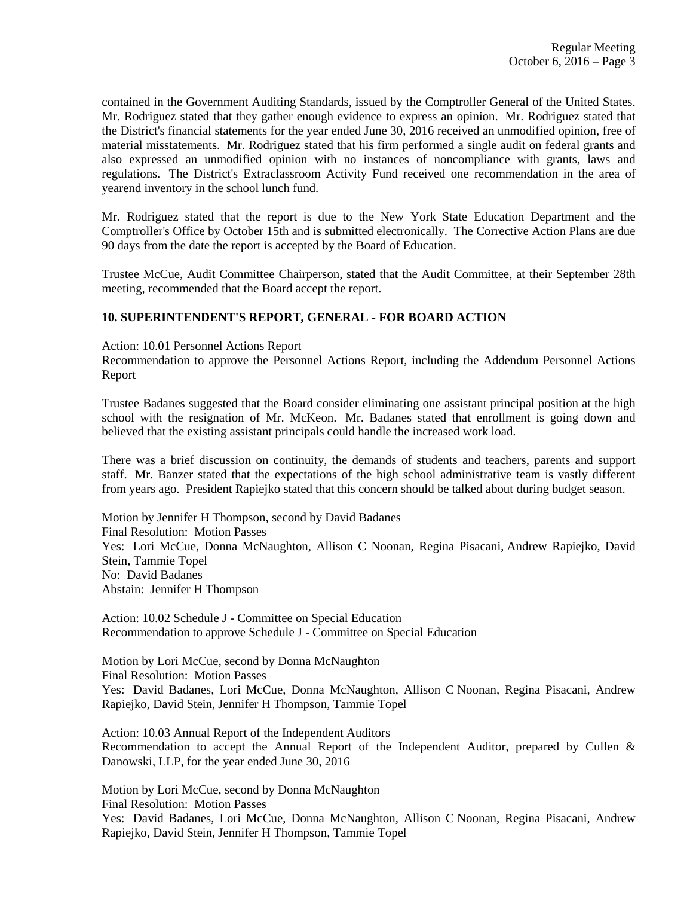contained in the Government Auditing Standards, issued by the Comptroller General of the United States. Mr. Rodriguez stated that they gather enough evidence to express an opinion. Mr. Rodriguez stated that the District's financial statements for the year ended June 30, 2016 received an unmodified opinion, free of material misstatements. Mr. Rodriguez stated that his firm performed a single audit on federal grants and also expressed an unmodified opinion with no instances of noncompliance with grants, laws and regulations. The District's Extraclassroom Activity Fund received one recommendation in the area of yearend inventory in the school lunch fund.

Mr. Rodriguez stated that the report is due to the New York State Education Department and the Comptroller's Office by October 15th and is submitted electronically. The Corrective Action Plans are due 90 days from the date the report is accepted by the Board of Education.

Trustee McCue, Audit Committee Chairperson, stated that the Audit Committee, at their September 28th meeting, recommended that the Board accept the report.

### **10. SUPERINTENDENT'S REPORT, GENERAL - FOR BOARD ACTION**

Action: 10.01 Personnel Actions Report

Recommendation to approve the Personnel Actions Report, including the Addendum Personnel Actions Report

Trustee Badanes suggested that the Board consider eliminating one assistant principal position at the high school with the resignation of Mr. McKeon. Mr. Badanes stated that enrollment is going down and believed that the existing assistant principals could handle the increased work load.

There was a brief discussion on continuity, the demands of students and teachers, parents and support staff. Mr. Banzer stated that the expectations of the high school administrative team is vastly different from years ago. President Rapiejko stated that this concern should be talked about during budget season.

Motion by Jennifer H Thompson, second by David Badanes Final Resolution: Motion Passes Yes: Lori McCue, Donna McNaughton, Allison C Noonan, Regina Pisacani, Andrew Rapiejko, David Stein, Tammie Topel No: David Badanes Abstain: Jennifer H Thompson

Action: 10.02 Schedule J - Committee on Special Education Recommendation to approve Schedule J - Committee on Special Education

Motion by Lori McCue, second by Donna McNaughton Final Resolution: Motion Passes Yes: David Badanes, Lori McCue, Donna McNaughton, Allison C Noonan, Regina Pisacani, Andrew Rapiejko, David Stein, Jennifer H Thompson, Tammie Topel

Action: 10.03 Annual Report of the Independent Auditors Recommendation to accept the Annual Report of the Independent Auditor, prepared by Cullen & Danowski, LLP, for the year ended June 30, 2016

Motion by Lori McCue, second by Donna McNaughton Final Resolution: Motion Passes Yes: David Badanes, Lori McCue, Donna McNaughton, Allison C Noonan, Regina Pisacani, Andrew Rapiejko, David Stein, Jennifer H Thompson, Tammie Topel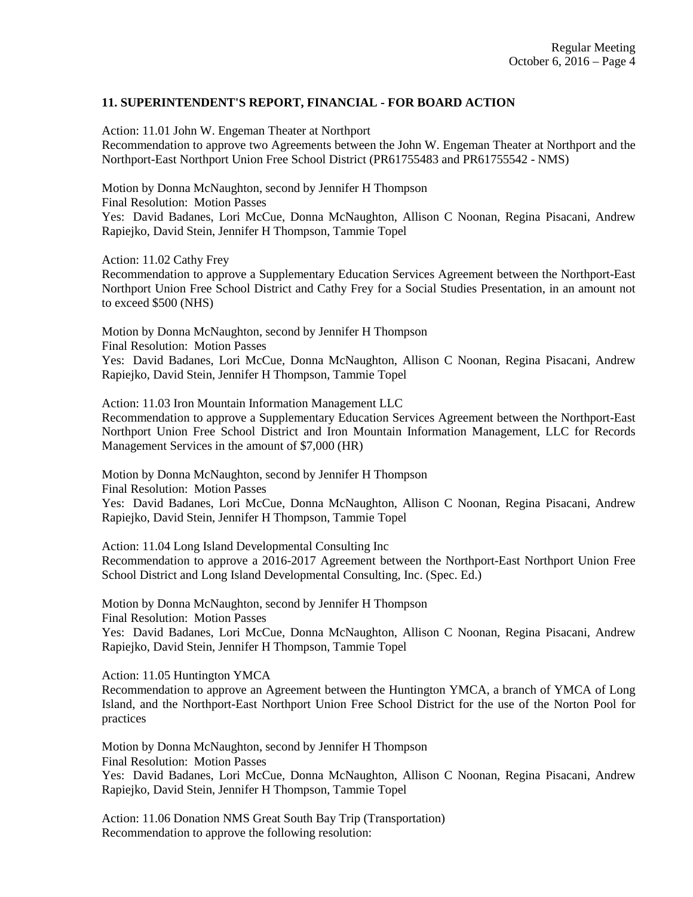# **11. SUPERINTENDENT'S REPORT, FINANCIAL - FOR BOARD ACTION**

Action: 11.01 John W. Engeman Theater at Northport

Recommendation to approve two Agreements between the John W. Engeman Theater at Northport and the Northport-East Northport Union Free School District (PR61755483 and PR61755542 - NMS)

Motion by Donna McNaughton, second by Jennifer H Thompson Final Resolution: Motion Passes Yes: David Badanes, Lori McCue, Donna McNaughton, Allison C Noonan, Regina Pisacani, Andrew Rapiejko, David Stein, Jennifer H Thompson, Tammie Topel

Action: 11.02 Cathy Frey

Recommendation to approve a Supplementary Education Services Agreement between the Northport-East Northport Union Free School District and Cathy Frey for a Social Studies Presentation, in an amount not to exceed \$500 (NHS)

Motion by Donna McNaughton, second by Jennifer H Thompson Final Resolution: Motion Passes Yes: David Badanes, Lori McCue, Donna McNaughton, Allison C Noonan, Regina Pisacani, Andrew Rapiejko, David Stein, Jennifer H Thompson, Tammie Topel

Action: 11.03 Iron Mountain Information Management LLC

Recommendation to approve a Supplementary Education Services Agreement between the Northport-East Northport Union Free School District and Iron Mountain Information Management, LLC for Records Management Services in the amount of \$7,000 (HR)

Motion by Donna McNaughton, second by Jennifer H Thompson

Final Resolution: Motion Passes

Yes: David Badanes, Lori McCue, Donna McNaughton, Allison C Noonan, Regina Pisacani, Andrew Rapiejko, David Stein, Jennifer H Thompson, Tammie Topel

Action: 11.04 Long Island Developmental Consulting Inc

Recommendation to approve a 2016-2017 Agreement between the Northport-East Northport Union Free School District and Long Island Developmental Consulting, Inc. (Spec. Ed.)

Motion by Donna McNaughton, second by Jennifer H Thompson Final Resolution: Motion Passes

Yes: David Badanes, Lori McCue, Donna McNaughton, Allison C Noonan, Regina Pisacani, Andrew Rapiejko, David Stein, Jennifer H Thompson, Tammie Topel

Action: 11.05 Huntington YMCA

Recommendation to approve an Agreement between the Huntington YMCA, a branch of YMCA of Long Island, and the Northport-East Northport Union Free School District for the use of the Norton Pool for practices

Motion by Donna McNaughton, second by Jennifer H Thompson Final Resolution: Motion Passes Yes: David Badanes, Lori McCue, Donna McNaughton, Allison C Noonan, Regina Pisacani, Andrew Rapiejko, David Stein, Jennifer H Thompson, Tammie Topel

Action: 11.06 Donation NMS Great South Bay Trip (Transportation) Recommendation to approve the following resolution: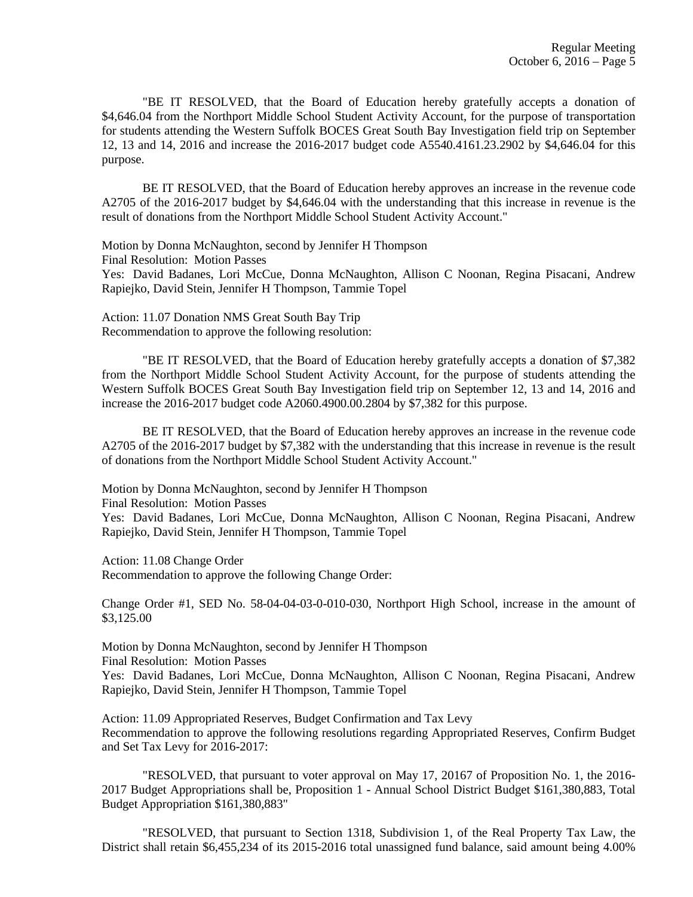"BE IT RESOLVED, that the Board of Education hereby gratefully accepts a donation of \$4,646.04 from the Northport Middle School Student Activity Account, for the purpose of transportation for students attending the Western Suffolk BOCES Great South Bay Investigation field trip on September 12, 13 and 14, 2016 and increase the 2016-2017 budget code A5540.4161.23.2902 by \$4,646.04 for this purpose.

BE IT RESOLVED, that the Board of Education hereby approves an increase in the revenue code A2705 of the 2016-2017 budget by \$4,646.04 with the understanding that this increase in revenue is the result of donations from the Northport Middle School Student Activity Account."

Motion by Donna McNaughton, second by Jennifer H Thompson Final Resolution: Motion Passes

Yes: David Badanes, Lori McCue, Donna McNaughton, Allison C Noonan, Regina Pisacani, Andrew Rapiejko, David Stein, Jennifer H Thompson, Tammie Topel

Action: 11.07 Donation NMS Great South Bay Trip Recommendation to approve the following resolution:

"BE IT RESOLVED, that the Board of Education hereby gratefully accepts a donation of \$7,382 from the Northport Middle School Student Activity Account, for the purpose of students attending the Western Suffolk BOCES Great South Bay Investigation field trip on September 12, 13 and 14, 2016 and increase the 2016-2017 budget code A2060.4900.00.2804 by \$7,382 for this purpose.

BE IT RESOLVED, that the Board of Education hereby approves an increase in the revenue code A2705 of the 2016-2017 budget by \$7,382 with the understanding that this increase in revenue is the result of donations from the Northport Middle School Student Activity Account."

Motion by Donna McNaughton, second by Jennifer H Thompson

Final Resolution: Motion Passes

Yes: David Badanes, Lori McCue, Donna McNaughton, Allison C Noonan, Regina Pisacani, Andrew Rapiejko, David Stein, Jennifer H Thompson, Tammie Topel

Action: 11.08 Change Order

Recommendation to approve the following Change Order:

Change Order #1, SED No. 58-04-04-03-0-010-030, Northport High School, increase in the amount of \$3,125.00

Motion by Donna McNaughton, second by Jennifer H Thompson

Final Resolution: Motion Passes

Yes: David Badanes, Lori McCue, Donna McNaughton, Allison C Noonan, Regina Pisacani, Andrew Rapiejko, David Stein, Jennifer H Thompson, Tammie Topel

Action: 11.09 Appropriated Reserves, Budget Confirmation and Tax Levy Recommendation to approve the following resolutions regarding Appropriated Reserves, Confirm Budget and Set Tax Levy for 2016-2017:

"RESOLVED, that pursuant to voter approval on May 17, 20167 of Proposition No. 1, the 2016- 2017 Budget Appropriations shall be, Proposition 1 - Annual School District Budget \$161,380,883, Total Budget Appropriation \$161,380,883"

"RESOLVED, that pursuant to Section 1318, Subdivision 1, of the Real Property Tax Law, the District shall retain \$6,455,234 of its 2015-2016 total unassigned fund balance, said amount being 4.00%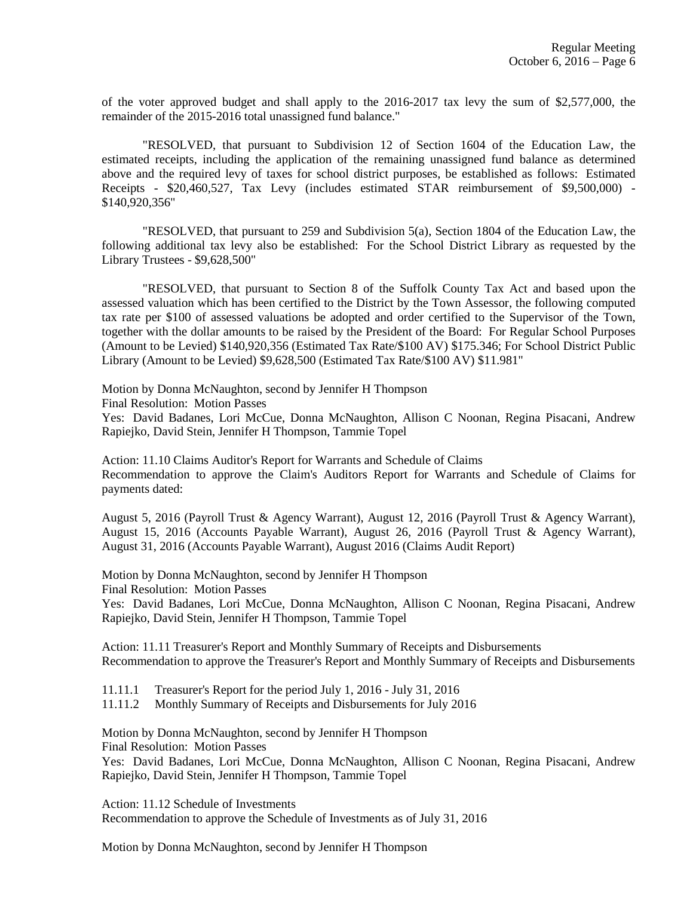of the voter approved budget and shall apply to the 2016-2017 tax levy the sum of \$2,577,000, the remainder of the 2015-2016 total unassigned fund balance."

"RESOLVED, that pursuant to Subdivision 12 of Section 1604 of the Education Law, the estimated receipts, including the application of the remaining unassigned fund balance as determined above and the required levy of taxes for school district purposes, be established as follows: Estimated Receipts - \$20,460,527, Tax Levy (includes estimated STAR reimbursement of \$9,500,000) - \$140,920,356"

"RESOLVED, that pursuant to 259 and Subdivision 5(a), Section 1804 of the Education Law, the following additional tax levy also be established: For the School District Library as requested by the Library Trustees - \$9,628,500"

"RESOLVED, that pursuant to Section 8 of the Suffolk County Tax Act and based upon the assessed valuation which has been certified to the District by the Town Assessor, the following computed tax rate per \$100 of assessed valuations be adopted and order certified to the Supervisor of the Town, together with the dollar amounts to be raised by the President of the Board: For Regular School Purposes (Amount to be Levied) \$140,920,356 (Estimated Tax Rate/\$100 AV) \$175.346; For School District Public Library (Amount to be Levied) \$9,628,500 (Estimated Tax Rate/\$100 AV) \$11.981"

Motion by Donna McNaughton, second by Jennifer H Thompson

Final Resolution: Motion Passes

Yes: David Badanes, Lori McCue, Donna McNaughton, Allison C Noonan, Regina Pisacani, Andrew Rapiejko, David Stein, Jennifer H Thompson, Tammie Topel

Action: 11.10 Claims Auditor's Report for Warrants and Schedule of Claims Recommendation to approve the Claim's Auditors Report for Warrants and Schedule of Claims for payments dated:

August 5, 2016 (Payroll Trust & Agency Warrant), August 12, 2016 (Payroll Trust & Agency Warrant), August 15, 2016 (Accounts Payable Warrant), August 26, 2016 (Payroll Trust & Agency Warrant), August 31, 2016 (Accounts Payable Warrant), August 2016 (Claims Audit Report)

Motion by Donna McNaughton, second by Jennifer H Thompson Final Resolution: Motion Passes

Yes: David Badanes, Lori McCue, Donna McNaughton, Allison C Noonan, Regina Pisacani, Andrew Rapiejko, David Stein, Jennifer H Thompson, Tammie Topel

Action: 11.11 Treasurer's Report and Monthly Summary of Receipts and Disbursements Recommendation to approve the Treasurer's Report and Monthly Summary of Receipts and Disbursements

11.11.1 Treasurer's Report for the period July 1, 2016 - July 31, 2016

11.11.2 Monthly Summary of Receipts and Disbursements for July 2016

Motion by Donna McNaughton, second by Jennifer H Thompson

Final Resolution: Motion Passes

Yes: David Badanes, Lori McCue, Donna McNaughton, Allison C Noonan, Regina Pisacani, Andrew Rapiejko, David Stein, Jennifer H Thompson, Tammie Topel

Action: 11.12 Schedule of Investments Recommendation to approve the Schedule of Investments as of July 31, 2016

Motion by Donna McNaughton, second by Jennifer H Thompson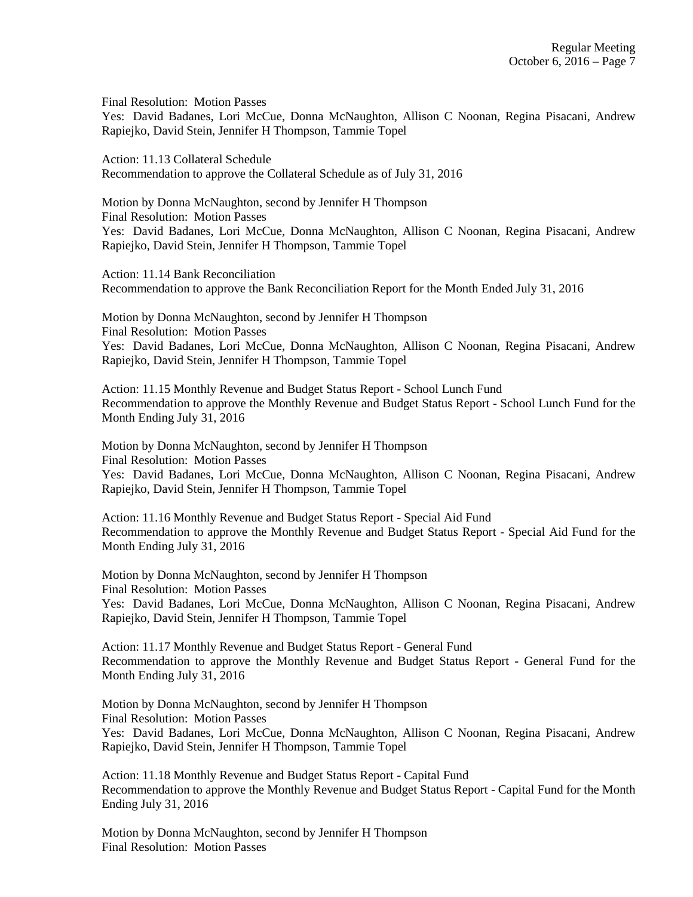Final Resolution: Motion Passes

Yes: David Badanes, Lori McCue, Donna McNaughton, Allison C Noonan, Regina Pisacani, Andrew Rapiejko, David Stein, Jennifer H Thompson, Tammie Topel

Action: 11.13 Collateral Schedule Recommendation to approve the Collateral Schedule as of July 31, 2016

Motion by Donna McNaughton, second by Jennifer H Thompson Final Resolution: Motion Passes Yes: David Badanes, Lori McCue, Donna McNaughton, Allison C Noonan, Regina Pisacani, Andrew Rapiejko, David Stein, Jennifer H Thompson, Tammie Topel

Action: 11.14 Bank Reconciliation Recommendation to approve the Bank Reconciliation Report for the Month Ended July 31, 2016

Motion by Donna McNaughton, second by Jennifer H Thompson Final Resolution: Motion Passes Yes: David Badanes, Lori McCue, Donna McNaughton, Allison C Noonan, Regina Pisacani, Andrew Rapiejko, David Stein, Jennifer H Thompson, Tammie Topel

Action: 11.15 Monthly Revenue and Budget Status Report - School Lunch Fund Recommendation to approve the Monthly Revenue and Budget Status Report - School Lunch Fund for the Month Ending July 31, 2016

Motion by Donna McNaughton, second by Jennifer H Thompson Final Resolution: Motion Passes Yes: David Badanes, Lori McCue, Donna McNaughton, Allison C Noonan, Regina Pisacani, Andrew Rapiejko, David Stein, Jennifer H Thompson, Tammie Topel

Action: 11.16 Monthly Revenue and Budget Status Report - Special Aid Fund Recommendation to approve the Monthly Revenue and Budget Status Report - Special Aid Fund for the Month Ending July 31, 2016

Motion by Donna McNaughton, second by Jennifer H Thompson Final Resolution: Motion Passes Yes: David Badanes, Lori McCue, Donna McNaughton, Allison C Noonan, Regina Pisacani, Andrew Rapiejko, David Stein, Jennifer H Thompson, Tammie Topel

Action: 11.17 Monthly Revenue and Budget Status Report - General Fund Recommendation to approve the Monthly Revenue and Budget Status Report - General Fund for the Month Ending July 31, 2016

Motion by Donna McNaughton, second by Jennifer H Thompson Final Resolution: Motion Passes Yes: David Badanes, Lori McCue, Donna McNaughton, Allison C Noonan, Regina Pisacani, Andrew Rapiejko, David Stein, Jennifer H Thompson, Tammie Topel

Action: 11.18 Monthly Revenue and Budget Status Report - Capital Fund Recommendation to approve the Monthly Revenue and Budget Status Report - Capital Fund for the Month Ending July 31, 2016

Motion by Donna McNaughton, second by Jennifer H Thompson Final Resolution: Motion Passes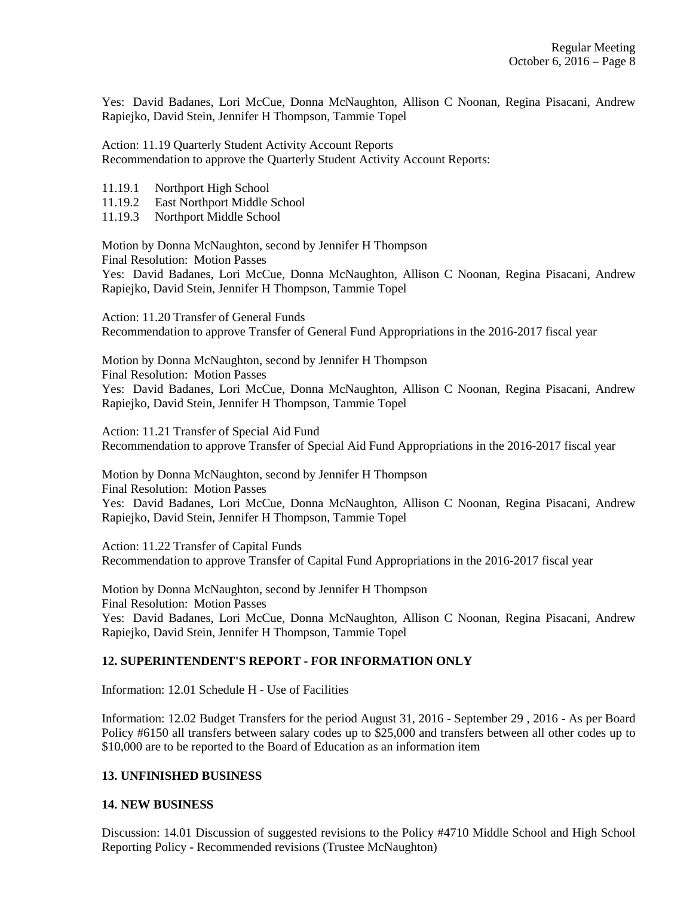Yes: David Badanes, Lori McCue, Donna McNaughton, Allison C Noonan, Regina Pisacani, Andrew Rapiejko, David Stein, Jennifer H Thompson, Tammie Topel

Action: 11.19 Quarterly Student Activity Account Reports Recommendation to approve the Quarterly Student Activity Account Reports:

- 11.19.1 Northport High School
- 11.19.2 East Northport Middle School
- 11.19.3 Northport Middle School

Motion by Donna McNaughton, second by Jennifer H Thompson Final Resolution: Motion Passes Yes: David Badanes, Lori McCue, Donna McNaughton, Allison C Noonan, Regina Pisacani, Andrew Rapiejko, David Stein, Jennifer H Thompson, Tammie Topel

Action: 11.20 Transfer of General Funds Recommendation to approve Transfer of General Fund Appropriations in the 2016-2017 fiscal year

Motion by Donna McNaughton, second by Jennifer H Thompson Final Resolution: Motion Passes Yes: David Badanes, Lori McCue, Donna McNaughton, Allison C Noonan, Regina Pisacani, Andrew Rapiejko, David Stein, Jennifer H Thompson, Tammie Topel

Action: 11.21 Transfer of Special Aid Fund Recommendation to approve Transfer of Special Aid Fund Appropriations in the 2016-2017 fiscal year

Motion by Donna McNaughton, second by Jennifer H Thompson Final Resolution: Motion Passes Yes: David Badanes, Lori McCue, Donna McNaughton, Allison C Noonan, Regina Pisacani, Andrew Rapiejko, David Stein, Jennifer H Thompson, Tammie Topel

Action: 11.22 Transfer of Capital Funds Recommendation to approve Transfer of Capital Fund Appropriations in the 2016-2017 fiscal year

Motion by Donna McNaughton, second by Jennifer H Thompson Final Resolution: Motion Passes Yes: David Badanes, Lori McCue, Donna McNaughton, Allison C Noonan, Regina Pisacani, Andrew Rapiejko, David Stein, Jennifer H Thompson, Tammie Topel

### **12. SUPERINTENDENT'S REPORT - FOR INFORMATION ONLY**

Information: 12.01 Schedule H - Use of Facilities

Information: 12.02 Budget Transfers for the period August 31, 2016 - September 29 , 2016 - As per Board Policy #6150 all transfers between salary codes up to \$25,000 and transfers between all other codes up to \$10,000 are to be reported to the Board of Education as an information item

### **13. UNFINISHED BUSINESS**

### **14. NEW BUSINESS**

Discussion: 14.01 Discussion of suggested revisions to the Policy #4710 Middle School and High School Reporting Policy - Recommended revisions (Trustee McNaughton)